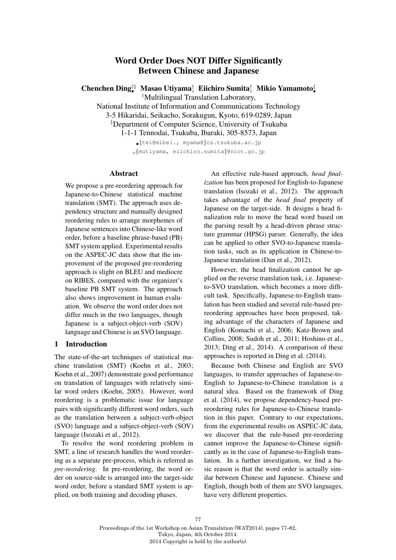# Word Order Does NOT Differ Significantly Between Chinese and Japanese

Chenchen Ding*†‡ •* Masao Utiyama*†* Eiichiro Sumita*†* Mikio Yamamoto*‡ • †* Multilingual Translation Laboratory,

National Institute of Information and Communications Technology

3-5 Hikaridai, Seikacho, Sorakugun, Kyoto, 619-0289, Japan

*‡* Department of Computer Science, University of Tsukuba

1-1-1 Tennodai, Tsukuba, Ibaraki, 305-8573, Japan

*•{*tei@mibel., myama@*}*cs.tsukuba.ac.jp *{*mutiyama, eiichiro.sumita*}*@nict.go.jp

## Abstract

We propose a pre-reordering approach for Japanese-to-Chinese statistical machine translation (SMT). The approach uses dependency structure and manually designed reordering rules to arrange morphemes of Japanese sentences into Chinese-like word order, before a baseline phrase-based (PB) SMT system applied. Experimental results on the ASPEC-JC data show that the improvement of the proposed pre-reordering approach is slight on BLEU and mediocre on RIBES, compared with the organizer's baseline PB SMT system. The approach also shows improvement in human evaluation. We observe the word order does not differ much in the two languages, though Japanese is a subject-object-verb (SOV) language and Chinese is an SVO language.

# 1 Introduction

The state-of-the-art techniques of statistical machine translation (SMT) (Koehn et al., 2003; Koehn et al., 2007) demonstrate good performance on translation of languages with relatively similar word orders (Koehn, 2005). However, word reordering is a problematic issue for language pairs with significantly different word orders, such as the translation between a subject-verb-object (SVO) language and a subject-object-verb (SOV) language (Isozaki et al., 2012).

To resolve the word reordering problem in SMT, a line of research handles the word reordering as a separate pre-process, which is referred as *pre-reordering*. In pre-reordering, the word order on source-side is arranged into the target-side word order, before a standard SMT system is applied, on both training and decoding phases.

An effective rule-based approach, *head finalization* has been proposed for English-to-Japanese translation (Isozaki et al., 2012). The approach takes advantage of the *head final* property of Japanese on the target-side. It designs a head finalization rule to move the head word based on the parsing result by a head-driven phrase structure grammar (HPSG) parser. Generally, the idea can be applied to other SVO-to-Japanese translation tasks, such as its application in Chinese-to-Japanese translation (Dan et al., 2012).

However, the head finalization cannot be applied on the reverse translation task, i.e. Japaneseto-SVO translation, which becomes a more difficult task. Specifically, Japanese-to-English translation has been studied and several rule-based prereordering approaches have been proposed, taking advantage of the characters of Japanese and English (Komachi et al., 2006; Katz-Brown and Collins, 2008; Sudoh et al., 2011; Hoshino et al., 2013; Ding et al., 2014). A comparison of these approaches is reported in Ding et al. (2014).

Because both Chinese and English are SVO languages, to transfer approaches of Japanese-to-English to Japanese-to-Chinese translation is a natural idea. Based on the framework of Ding et al. (2014), we propose dependency-based prereordering rules for Japanese-to-Chinese translation in this paper. Contrary to our expectations, from the experimental results on ASPEC-JC data, we discover that the rule-based pre-reordering cannot improve the Japanese-to-Chinese significantly as in the case of Japanese-to-English translation. In a further investigation, we find a basic reason is that the word order is actually similar between Chinese and Japanese. Chinese and English, though both of them are SVO languages, have very different properties.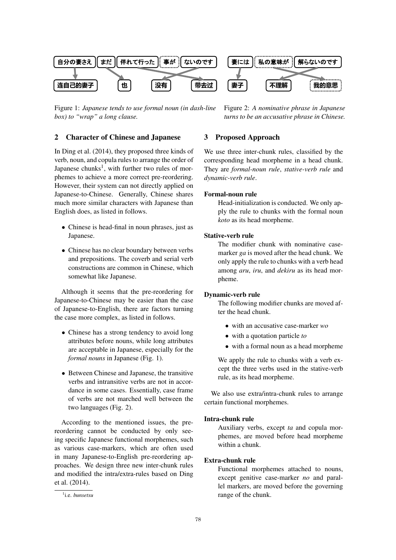

Figure 1: *Japanese tends to use formal noun (in dash-line box) to "wrap" a long clause.*

# 2 Character of Chinese and Japanese

In Ding et al. (2014), they proposed three kinds of verb, noun, and copula rules to arrange the order of Japanese chunks<sup>1</sup>, with further two rules of morphemes to achieve a more correct pre-reordering. However, their system can not directly applied on Japanese-to-Chinese. Generally, Chinese shares much more similar characters with Japanese than English does, as listed in follows.

- *•* Chinese is head-final in noun phrases, just as Japanese.
- *•* Chinese has no clear boundary between verbs and prepositions. The coverb and serial verb constructions are common in Chinese, which somewhat like Japanese.

Although it seems that the pre-reordering for Japanese-to-Chinese may be easier than the case of Japanese-to-English, there are factors turning the case more complex, as listed in follows.

- Chinese has a strong tendency to avoid long attributes before nouns, while long attributes are acceptable in Japanese, especially for the *formal nouns* in Japanese (Fig. 1).
- Between Chinese and Japanese, the transitive verbs and intransitive verbs are not in accordance in some cases. Essentially, case frame of verbs are not marched well between the two languages (Fig. 2).

According to the mentioned issues, the prereordering cannot be conducted by only seeing specific Japanese functional morphemes, such as various case-markers, which are often used in many Japanese-to-English pre-reordering approaches. We design three new inter-chunk rules and modified the intra/extra-rules based on Ding et al. (2014).

Figure 2: *A nominative phrase in Japanese turns to be an accusative phrase in Chinese.*

## 3 Proposed Approach

We use three inter-chunk rules, classified by the corresponding head morpheme in a head chunk. They are *formal-noun rule*, *stative-verb rule* and *dynamic-verb rule*.

#### Formal-noun rule

Head-initialization is conducted. We only apply the rule to chunks with the formal noun *koto* as its head morpheme.

## Stative-verb rule

The modifier chunk with nominative casemarker *ga* is moved after the head chunk. We only apply the rule to chunks with a verb head among *aru*, *iru*, and *dekiru* as its head morpheme.

#### Dynamic-verb rule

The following modifier chunks are moved after the head chunk.

- *•* with an accusative case-marker *wo*
- *•* with a quotation particle *to*
- *•* with a formal noun as a head morpheme

We apply the rule to chunks with a verb except the three verbs used in the stative-verb rule, as its head morpheme.

We also use extra/intra-chunk rules to arrange certain functional morphemes.

## Intra-chunk rule

Auxiliary verbs, except *ta* and copula morphemes, are moved before head morpheme within a chunk.

## Extra-chunk rule

Functional morphemes attached to nouns, except genitive case-marker *no* and parallel markers, are moved before the governing range of the chunk.

<sup>1</sup> i.e. *bunsetsu*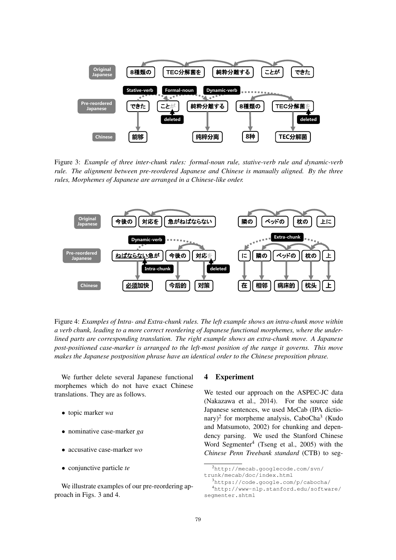

Figure 3: *Example of three inter-chunk rules: formal-noun rule, stative-verb rule and dynamic-verb rule. The alignment between pre-reordered Japanese and Chinese is manually aligned. By the three rules, Morphemes of Japanese are arranged in a Chinese-like order.*



Figure 4: *Examples of Intra- and Extra-chunk rules. The left example shows an intra-chunk move within a verb chunk, leading to a more correct reordering of Japanese functional morphemes, where the underlined parts are corresponding translation. The right example shows an extra-chunk move. A Japanese post-positioned case-marker is arranged to the left-most position of the range it governs. This move makes the Japanese postposition phrase have an identical order to the Chinese preposition phrase.*

We further delete several Japanese functional morphemes which do not have exact Chinese translations. They are as follows.

- *•* topic marker *wa*
- *•* nominative case-marker *ga*
- *•* accusative case-marker *wo*
- *•* conjunctive particle *te*

We illustrate examples of our pre-reordering approach in Figs. 3 and 4.

#### 4 Experiment

We tested our approach on the ASPEC-JC data (Nakazawa et al., 2014). For the source side Japanese sentences, we used MeCab (IPA dictionary)<sup>2</sup> for morpheme analysis, CaboCha<sup>3</sup> (Kudo and Matsumoto, 2002) for chunking and dependency parsing. We used the Stanford Chinese Word Segmenter<sup>4</sup> (Tseng et al., 2005) with the *Chinese Penn Treebank standard* (CTB) to seg-

<sup>2</sup> http://mecab.googlecode.com/svn/ trunk/mecab/doc/index.html

<sup>3</sup> https://code.google.com/p/cabocha/

<sup>4</sup> http://www-nlp.stanford.edu/software/

segmenter.shtml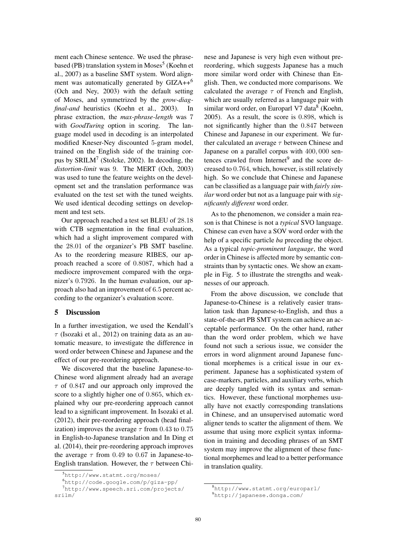ment each Chinese sentence. We used the phrasebased (PB) translation system in  $Moses<sup>5</sup>$  (Koehn et al., 2007) as a baseline SMT system. Word alignment was automatically generated by GIZA++<sup>6</sup> (Och and Ney, 2003) with the default setting of Moses, and symmetrized by the *grow-diagfinal-and* heuristics (Koehn et al., 2003). In phrase extraction, the *max-phrase-length* was 7 with *GoodTuring* option in scoring. The language model used in decoding is an interpolated modified Kneser-Ney discounted 5-gram model, trained on the English side of the training corpus by  $SRILM<sup>7</sup>$  (Stolcke, 2002). In decoding, the *distortion-limit* was 9. The MERT (Och, 2003) was used to tune the feature weights on the development set and the translation performance was evaluated on the test set with the tuned weights. We used identical decoding settings on development and test sets.

Our approach reached a test set BLEU of 28*.*18 with CTB segmentation in the final evaluation, which had a slight improvement compared with the 28*.*01 of the organizer's PB SMT baseline. As to the reordering measure RIBES, our approach reached a score of 0*.*8087, which had a mediocre improvement compared with the organizer's 0*.*7926. In the human evaluation, our approach also had an improvement of 6*.*5 percent according to the organizer's evaluation score.

## 5 Discussion

In a further investigation, we used the Kendall's  $\tau$  (Isozaki et al., 2012) on training data as an automatic measure, to investigate the difference in word order between Chinese and Japanese and the effect of our pre-reordering approach.

We discovered that the baseline Japanese-to-Chinese word alignment already had an average  $\tau$  of 0.847 and our approach only improved the score to a slightly higher one of 0*.*865, which explained why our pre-reordering approach cannot lead to a significant improvement. In Isozaki et al. (2012), their pre-reordering approach (head finalization) improves the average  $\tau$  from 0.43 to 0.75 in English-to-Japanese translation and In Ding et al. (2014), their pre-reordering approach improves the average  $\tau$  from 0.49 to 0.67 in Japanese-to-English translation. However, the  $\tau$  between Chinese and Japanese is very high even without prereordering, which suggests Japanese has a much more similar word order with Chinese than English. Then, we conducted more comparisons. We calculated the average  $\tau$  of French and English, which are usually referred as a language pair with similar word order, on Europarl V7 data $8$  (Koehn, 2005). As a result, the score is 0*.*898, which is not significantly higher than the 0*.*847 between Chinese and Japanese in our experiment. We further calculated an average  $\tau$  between Chinese and Japanese on a parallel corpus with 400*,* 000 sentences crawled from Internet $9$  and the score decreased to 0*.*764, which, however, is still relatively high. So we conclude that Chinese and Japanese can be classified as a language pair with *fairly similar* word order but not as a language pair with *significantly different* word order.

As to the phenomenon, we consider a main reason is that Chinese is not a *typical* SVO language. Chinese can even have a SOV word order with the help of a specific particle *ba* preceding the object. As a typical *topic-prominent language*, the word order in Chinese is affected more by semantic constraints than by syntactic ones. We show an example in Fig. 5 to illustrate the strengths and weaknesses of our approach.

From the above discussion, we conclude that Japanese-to-Chinese is a relatively easier translation task than Japanese-to-English, and thus a state-of-the-art PB SMT system can achieve an acceptable performance. On the other hand, rather than the word order problem, which we have found not such a serious issue, we consider the errors in word alignment around Japanese functional morphemes is a critical issue in our experiment. Japanese has a sophisticated system of case-markers, particles, and auxiliary verbs, which are deeply tangled with its syntax and semantics. However, these functional morphemes usually have not exactly corresponding translations in Chinese, and an unsupervised automatic word aligner tends to scatter the alignment of them. We assume that using more explicit syntax information in training and decoding phrases of an SMT system may improve the alignment of these functional morphemes and lead to a better performance in translation quality.

<sup>5</sup> http://www.statmt.org/moses/

<sup>6</sup> http://code.google.com/p/giza-pp/

<sup>7</sup> http://www.speech.sri.com/projects/ srilm/

<sup>8</sup> http://www.statmt.org/europarl/

<sup>9</sup> http://japanese.donga.com/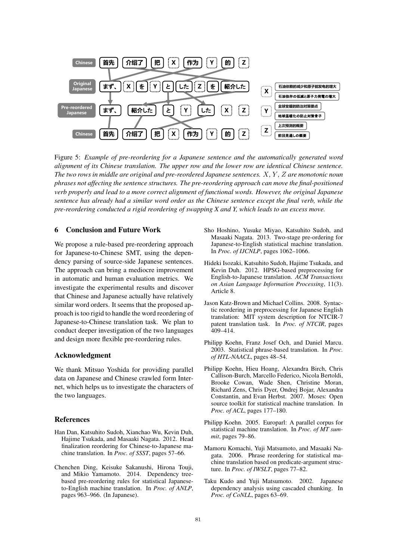

Figure 5: *Example of pre-reordering for a Japanese sentence and the automatically generated word alignment of its Chinese translation. The upper row and the lower row are identical Chinese sentence. The two rows in middle are original and pre-reordered Japanese sentences. X, Y , Z are monotonic noun phrases not affecting the sentence structures. The pre-reordering approach can move the final-positioned verb properly and lead to a more correct alignment of functional words. However, the original Japanese sentence has already had a similar word order as the Chinese sentence except the final verb, while the pre-reordering conducted a rigid reordering of swapping X and Y, which leads to an excess move.*

## 6 Conclusion and Future Work

We propose a rule-based pre-reordering approach for Japanese-to-Chinese SMT, using the dependency parsing of source-side Japanese sentences. The approach can bring a mediocre improvement in automatic and human evaluation metrics. We investigate the experimental results and discover that Chinese and Japanese actually have relatively similar word orders. It seems that the proposed approach is too rigid to handle the word reordering of Japanese-to-Chinese translation task. We plan to conduct deeper investigation of the two languages and design more flexible pre-reordering rules.

#### Acknowledgment

We thank Mitsuo Yoshida for providing parallel data on Japanese and Chinese crawled form Internet, which helps us to investigate the characters of the two languages.

#### References

- Han Dan, Katsuhito Sudoh, Xianchao Wu, Kevin Duh, Hajime Tsukada, and Masaaki Nagata. 2012. Head finalization reordering for Chinese-to-Japanese machine translation. In *Proc. of SSST*, pages 57–66.
- Chenchen Ding, Keisuke Sakanushi, Hirona Touji, and Mikio Yamamoto. 2014. Dependency treebased pre-reordering rules for statistical Japaneseto-English machine translation. In *Proc. of ANLP*, pages 963–966. (In Japanese).
- Sho Hoshino, Yusuke Miyao, Katsuhito Sudoh, and Masaaki Nagata. 2013. Two-stage pre-ordering for Japanese-to-English statistical machine translation. In *Proc. of IJCNLP*, pages 1062–1066.
- Hideki Isozaki, Katsuhito Sudoh, Hajime Tsukada, and Kevin Duh. 2012. HPSG-based preprocessing for English-to-Japanese translation. *ACM Transactions on Asian Language Information Processing*, 11(3). Article 8.
- Jason Katz-Brown and Michael Collins. 2008. Syntactic reordering in preprocessing for Japanese English translation: MIT system description for NTCIR-7 patent translation task. In *Proc. of NTCIR*, pages 409–414.
- Philipp Koehn, Franz Josef Och, and Daniel Marcu. 2003. Statistical phrase-based translation. In *Proc. of HTL-NAACL*, pages 48–54.
- Philipp Koehn, Hieu Hoang, Alexandra Birch, Chris Callison-Burch, Marcello Federico, Nicola Bertoldi, Brooke Cowan, Wade Shen, Christine Moran, Richard Zens, Chris Dyer, Ondrej Bojar, Alexandra Constantin, and Evan Herbst. 2007. Moses: Open source toolkit for statistical machine translation. In *Proc. of ACL*, pages 177–180.
- Philipp Koehn. 2005. Europarl: A parallel corpus for statistical machine translation. In *Proc. of MT summit*, pages 79–86.
- Mamoru Komachi, Yuji Matsumoto, and Masaaki Nagata. 2006. Phrase reordering for statistical machine translation based on predicate-argument structure. In *Proc. of IWSLT*, pages 77–82.
- Taku Kudo and Yuji Matsumoto. 2002. Japanese dependency analysis using cascaded chunking. In *Proc. of CoNLL*, pages 63–69.